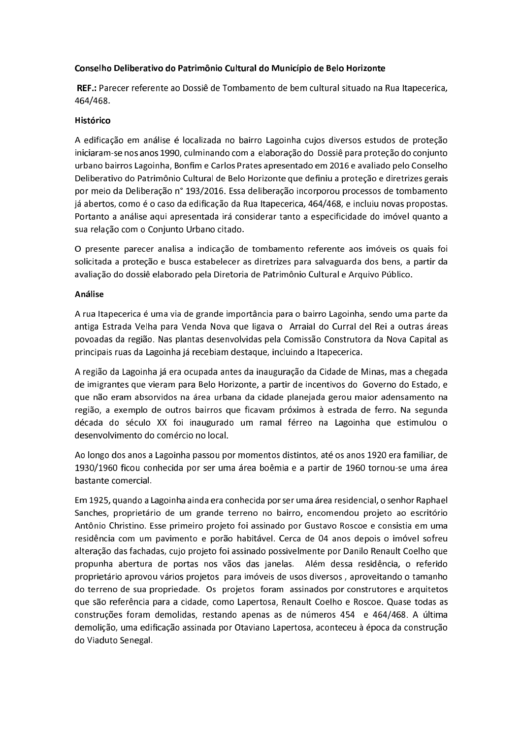## Conselho Deliberativo do Patrimônio Cultural do Município de Belo Horizonte

REF.: Parecer referente ao Dossiê de Tombamento de bem cultural situado na Rua Itapecerica, 464/468.

## Histórico

A edificação em análise é localizada no bairro Lagoinha cujos diversos estudos de proteção iniciaram-se nos anos 1990, culminando com a elaboração do Dossiê para proteção do conjunto urbano bairros Lagoinha, Bonfim e Carlos Prates apresentado em 2016 e avaliado pelo Conselho Deliberativo do Patrimônio Cultural de Belo Horizonte que definiu a proteção e diretrizes gerais por meio da Deliberação nº 193/2016. Essa deliberação incorporou processos de tombamento já abertos, como é o caso da edificação da Rua Itapecerica, 464/468, e incluiu novas propostas. Portanto a análise aqui apresentada irá considerar tanto a especificidade do imóvel quanto a sua relação com o Conjunto Urbano citado.

O presente parecer analisa a indicação de tombamento referente aos imóveis os quais foi solicitada a proteção e busca estabelecer as diretrizes para salvaguarda dos bens, a partir da avaliação do dossiê elaborado pela Diretoria de Patrimônio Cultural e Arquivo Público.

## Análise

A rua Itapecerica é uma via de grande importância para o bairro Lagoinha, sendo uma parte da antiga Estrada Velha para Venda Nova que ligava o Arraial do Curral del Rei a outras áreas povoadas da região. Nas plantas desenvolvidas pela Comissão Construtora da Nova Capital as principais ruas da Lagoinha já recebiam destaque, incluindo a Itapecerica.

A região da Lagoinha já era ocupada antes da inauguração da Cidade de Minas, mas a chegada de imigrantes que vieram para Belo Horizonte, a partir de incentivos do Governo do Estado, e que não eram absorvidos na área urbana da cidade planejada gerou maior adensamento na região, a exemplo de outros bairros que ficavam próximos à estrada de ferro. Na segunda década do século XX foi inaugurado um ramal férreo na Lagoinha que estimulou o desenvolvimento do comércio no local.

Ao longo dos anos a Lagoinha passou por momentos distintos, até os anos 1920 era familiar, de 1930/1960 ficou conhecida por ser uma área boêmia e a partir de 1960 tornou-se uma área bastante comercial.

Em 1925, quando a Lagoinha ainda era conhecida por ser uma área residencial, o senhor Raphael Sanches, proprietário de um grande terreno no bairro, encomendou projeto ao escritório Antônio Christino. Esse primeiro projeto foi assinado por Gustavo Roscoe e consistia em uma residência com um pavimento e porão habitável. Cerca de 04 anos depois o imóvel sofreu alteração das fachadas, cujo projeto foi assinado possivelmente por Danilo Renault Coelho que propunha abertura de portas nos vãos das janelas. Além dessa residência, o referido proprietário aprovou vários projetos para imóveis de usos diversos, aproveitando o tamanho do terreno de sua propriedade. Os projetos foram assinados por construtores e arquitetos que são referência para a cidade, como Lapertosa, Renault Coelho e Roscoe. Quase todas as construções foram demolidas, restando apenas as de números 454 e 464/468. A última demolição, uma edificação assinada por Otaviano Lapertosa, aconteceu à época da construção do Viaduto Senegal.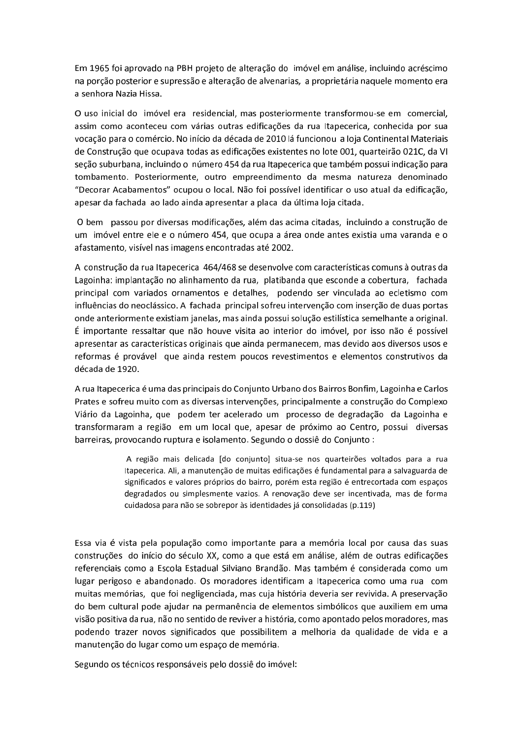Em 1965 foi aprovado na PBH projeto de alteração do imóvel em análise, incluindo acréscimo na porção posterior e supressão e alteração de alvenarias, a proprietária naquele momento era a senhora Nazia Hissa.

O uso inicial do imóvel era residencial, mas posteriormente transformou-se em comercial, assim como aconteceu com várias outras edificações da rua Itapecerica, conhecida por sua vocação para o comércio. No início da década de 2010 lá funcionou a loja Continental Materiais de Construção que ocupava todas as edificações existentes no lote 001, quarteirão 021C, da VI seção suburbana, incluindo o número 454 da rua Itapecerica que também possui indicação para tombamento. Posteriormente, outro empreendimento da mesma natureza denominado "Decorar Acabamentos" ocupou o local. Não foi possível identificar o uso atual da edificação, apesar da fachada ao lado ainda apresentar a placa da última loja citada.

O bem passou por diversas modificações, além das acima citadas, incluindo a construção de um imóvel entre ele e o número 454, que ocupa a área onde antes existia uma varanda e o afastamento, visível nas imagens encontradas até 2002.

A construção da rua Itapecerica 464/468 se desenvolve com características comuns à outras da Lagoinha: implantação no alinhamento da rua, platibanda que esconde a cobertura, fachada principal com variados ornamentos e detalhes, podendo ser vinculada ao ecletismo com influências do neoclássico. A fachada principal sofreu intervenção com inserção de duas portas onde anteriormente existiam janelas, mas ainda possui solução estilística semelhante a original. É importante ressaltar que não houve visita ao interior do imóvel, por isso não é possível apresentar as características originais que ainda permanecem, mas devido aos diversos usos e reformas é provável que ainda restem poucos revestimentos e elementos construtivos da década de 1920.

A rua Itapecerica é uma das principais do Conjunto Urbano dos Bairros Bonfim, Lagoinha e Carlos Prates e sofreu muito com as diversas intervenções, principalmente a construção do Complexo Viário da Lagoinha, que podem ter acelerado um processo de degradação da Lagoinha e transformaram a região em um local que, apesar de próximo ao Centro, possui diversas barreiras, provocando ruptura e isolamento. Segundo o dossiê do Conjunto :

> A região mais delicada [do conjunto] situa-se nos quarteirões voltados para a rua Itapecerica. Ali, a manutenção de muitas edificações é fundamental para a salvaguarda de significados e valores próprios do bairro, porém esta região é entrecortada com espaços degradados ou simplesmente vazios. A renovação deve ser incentivada, mas de forma cuidadosa para não se sobrepor às identidades já consolidadas (p.119)

Essa via é vista pela população como importante para a memória local por causa das suas construções do início do século XX, como a que está em análise, além de outras edificações referenciais como a Escola Estadual Silviano Brandão. Mas também é considerada como um lugar perigoso e abandonado. Os moradores identificam a Itapecerica como uma rua com muitas memórias, que foi negligenciada, mas cuja história deveria ser revivida. A preservação do bem cultural pode ajudar na permanência de elementos simbólicos que auxiliem em uma visão positiva da rua, não no sentido de reviver a história, como apontado pelos moradores, mas podendo trazer novos significados que possibilitem a melhoria da qualidade de vida e a manutenção do lugar como um espaço de memória.

Segundo os técnicos responsáveis pelo dossiê do imóvel: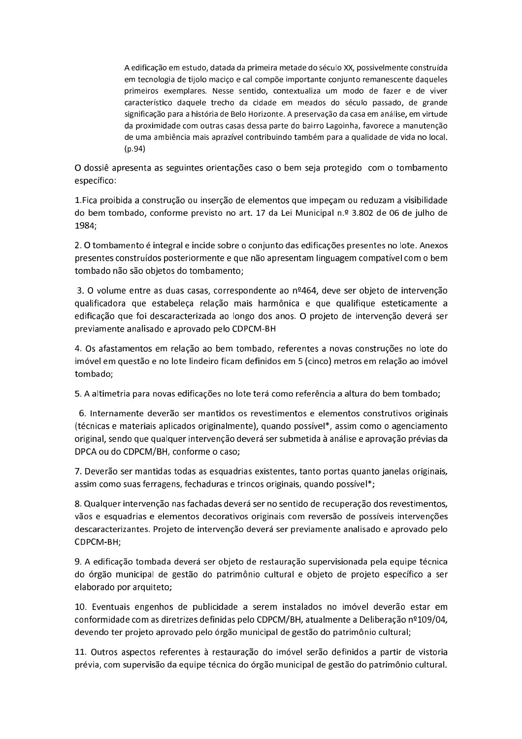A edificação em estudo, datada da primeira metade do século XX, possivelmente construída em tecnologia de tijolo macico e cal compõe importante conjunto remanescente daqueles primeiros exemplares. Nesse sentido, contextualiza um modo de fazer e de viver característico daquele trecho da cidade em meados do século passado, de grande significação para a história de Belo Horizonte. A preservação da casa em análise, em virtude da proximidade com outras casas dessa parte do bairro Lagoinha, favorece a manutenção de uma ambiência mais aprazível contribuindo também para a qualidade de vida no local.  $(p.94)$ 

O dossiê apresenta as seguintes orientações caso o bem seja protegido com o tombamento específico:

1. Fica proibida a construção ou inserção de elementos que impeçam ou reduzam a visibilidade do bem tombado, conforme previsto no art. 17 da Lei Municipal n.º 3.802 de 06 de julho de 1984;

2. O tombamento é integral e incide sobre o conjunto das edificações presentes no lote. Anexos presentes construídos posteriormente e que não apresentam linguagem compatível com o bem tombado não são objetos do tombamento;

3. O volume entre as duas casas, correspondente ao nº464, deve ser objeto de intervenção qualificadora que estabeleça relação mais harmônica e que qualifique esteticamente a edificação que foi descaracterizada ao longo dos anos. O projeto de intervenção deverá ser previamente analisado e aprovado pelo CDPCM-BH

4. Os afastamentos em relação ao bem tombado, referentes a novas construções no lote do imóvel em questão e no lote lindeiro ficam definidos em 5 (cinco) metros em relação ao imóvel tombado;

5. A altimetria para novas edificações no lote terá como referência a altura do bem tombado;

6. Internamente deverão ser mantidos os revestimentos e elementos construtivos originais (técnicas e materiais aplicados originalmente), quando possível\*, assim como o agenciamento original, sendo que qualquer intervenção deverá ser submetida à análise e aprovação prévias da DPCA ou do CDPCM/BH, conforme o caso;

7. Deverão ser mantidas todas as esquadrias existentes, tanto portas quanto janelas originais, assim como suas ferragens, fechaduras e trincos originais, quando possível\*;

8. Qualquer intervenção nas fachadas deverá ser no sentido de recuperação dos revestimentos, vãos e esquadrias e elementos decorativos originais com reversão de possíveis intervenções descaracterizantes. Projeto de intervenção deverá ser previamente analisado e aprovado pelo CDPCM-BH;

9. A edificação tombada deverá ser objeto de restauração supervisionada pela equipe técnica do órgão municipal de gestão do patrimônio cultural e objeto de projeto específico a ser elaborado por arquiteto;

10. Eventuais engenhos de publicidade a serem instalados no imóvel deverão estar em conformidade com as diretrizes definidas pelo CDPCM/BH, atualmente a Deliberação nº109/04, devendo ter projeto aprovado pelo órgão municipal de gestão do patrimônio cultural;

11. Outros aspectos referentes à restauração do imóvel serão definidos a partir de vistoria prévia, com supervisão da equipe técnica do órgão municipal de gestão do patrimônio cultural.